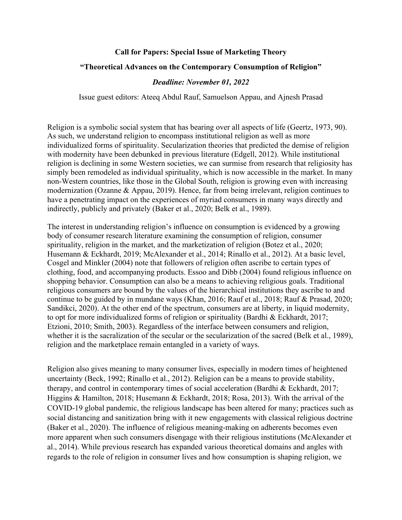# **Call for Papers: Special Issue of Marketing Theory**

### **"Theoretical Advances on the Contemporary Consumption of Religion"**

#### *Deadline: November 01, 2022*

Issue guest editors: Ateeq Abdul Rauf, Samuelson Appau, and Ajnesh Prasad

Religion is a symbolic social system that has bearing over all aspects of life (Geertz, 1973, 90). As such, we understand religion to encompass institutional religion as well as more individualized forms of spirituality. Secularization theories that predicted the demise of religion with modernity have been debunked in previous literature (Edgell, 2012). While institutional religion is declining in some Western societies, we can surmise from research that religiosity has simply been remodeled as individual spirituality, which is now accessible in the market. In many non-Western countries, like those in the Global South, religion is growing even with increasing modernization (Ozanne & Appau, 2019). Hence, far from being irrelevant, religion continues to have a penetrating impact on the experiences of myriad consumers in many ways directly and indirectly, publicly and privately (Baker et al., 2020; Belk et al., 1989).

The interest in understanding religion's influence on consumption is evidenced by a growing body of consumer research literature examining the consumption of religion, consumer spirituality, religion in the market, and the marketization of religion (Botez et al., 2020; Husemann & Eckhardt, 2019; McAlexander et al., 2014; Rinallo et al., 2012). At a basic level, Cosgel and Minkler (2004) note that followers of religion often ascribe to certain types of clothing, food, and accompanying products. Essoo and Dibb (2004) found religious influence on shopping behavior. Consumption can also be a means to achieving religious goals. Traditional religious consumers are bound by the values of the hierarchical institutions they ascribe to and continue to be guided by in mundane ways (Khan, 2016; Rauf et al., 2018; Rauf & Prasad, 2020; Sandikci, 2020). At the other end of the spectrum, consumers are at liberty, in liquid modernity, to opt for more individualized forms of religion or spirituality (Bardhi & Eckhardt, 2017; Etzioni, 2010; Smith, 2003). Regardless of the interface between consumers and religion, whether it is the sacralization of the secular or the secularization of the sacred (Belk et al., 1989), religion and the marketplace remain entangled in a variety of ways.

Religion also gives meaning to many consumer lives, especially in modern times of heightened uncertainty (Beck, 1992; Rinallo et al., 2012). Religion can be a means to provide stability, therapy, and control in contemporary times of social acceleration (Bardhi & Eckhardt, 2017; Higgins & Hamilton, 2018; Husemann & Eckhardt, 2018; Rosa, 2013). With the arrival of the COVID-19 global pandemic, the religious landscape has been altered for many; practices such as social distancing and sanitization bring with it new engagements with classical religious doctrine (Baker et al., 2020). The influence of religious meaning-making on adherents becomes even more apparent when such consumers disengage with their religious institutions (McAlexander et al., 2014). While previous research has expanded various theoretical domains and angles with regards to the role of religion in consumer lives and how consumption is shaping religion, we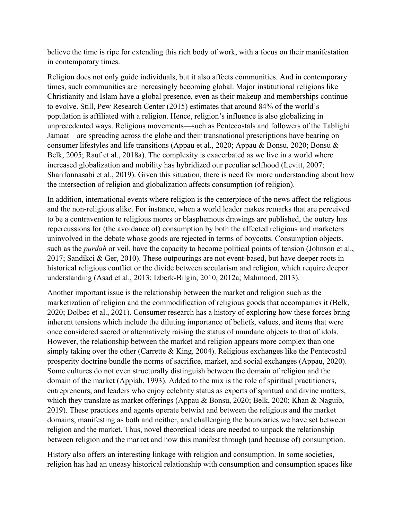believe the time is ripe for extending this rich body of work, with a focus on their manifestation in contemporary times.

Religion does not only guide individuals, but it also affects communities. And in contemporary times, such communities are increasingly becoming global. Major institutional religions like Christianity and Islam have a global presence, even as their makeup and memberships continue to evolve. Still, Pew Research Center (2015) estimates that around 84% of the world's population is affiliated with a religion. Hence, religion's influence is also globalizing in unprecedented ways. Religious movements—such as Pentecostals and followers of the Tablighi Jamaat—are spreading across the globe and their transnational prescriptions have bearing on consumer lifestyles and life transitions (Appau et al., 2020; Appau & Bonsu, 2020; Bonsu & Belk, 2005; Rauf et al., 2018a). The complexity is exacerbated as we live in a world where increased globalization and mobility has hybridized our peculiar selfhood (Levitt, 2007; Sharifonnasabi et al., 2019). Given this situation, there is need for more understanding about how the intersection of religion and globalization affects consumption (of religion).

In addition, international events where religion is the centerpiece of the news affect the religious and the non-religious alike. For instance, when a world leader makes remarks that are perceived to be a contravention to religious mores or blasphemous drawings are published, the outcry has repercussions for (the avoidance of) consumption by both the affected religious and marketers uninvolved in the debate whose goods are rejected in terms of boycotts. Consumption objects, such as the *purdah* or veil, have the capacity to become political points of tension (Johnson et al., 2017; Sandikci & Ger, 2010). These outpourings are not event-based, but have deeper roots in historical religious conflict or the divide between secularism and religion, which require deeper understanding (Asad et al., 2013; Izberk-Bilgin, 2010, 2012a; Mahmood, 2013).

Another important issue is the relationship between the market and religion such as the marketization of religion and the commodification of religious goods that accompanies it (Belk, 2020; Dolbec et al., 2021). Consumer research has a history of exploring how these forces bring inherent tensions which include the diluting importance of beliefs, values, and items that were once considered sacred or alternatively raising the status of mundane objects to that of idols. However, the relationship between the market and religion appears more complex than one simply taking over the other (Carrette & King, 2004). Religious exchanges like the Pentecostal prosperity doctrine bundle the norms of sacrifice, market, and social exchanges (Appau, 2020). Some cultures do not even structurally distinguish between the domain of religion and the domain of the market (Appiah, 1993). Added to the mix is the role of spiritual practitioners, entrepreneurs, and leaders who enjoy celebrity status as experts of spiritual and divine matters, which they translate as market offerings (Appau & Bonsu, 2020; Belk, 2020; Khan & Naguib, 2019). These practices and agents operate betwixt and between the religious and the market domains, manifesting as both and neither, and challenging the boundaries we have set between religion and the market. Thus, novel theoretical ideas are needed to unpack the relationship between religion and the market and how this manifest through (and because of) consumption.

History also offers an interesting linkage with religion and consumption. In some societies, religion has had an uneasy historical relationship with consumption and consumption spaces like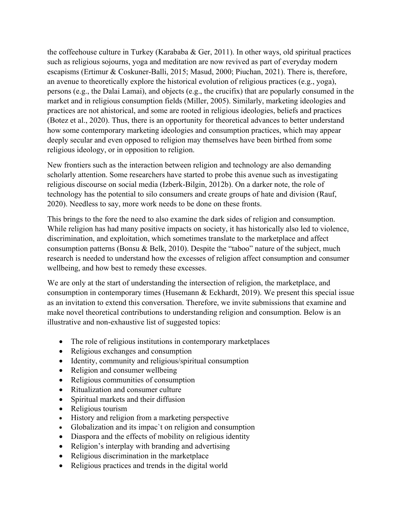the coffeehouse culture in Turkey (Karababa & Ger, 2011). In other ways, old spiritual practices such as religious sojourns, yoga and meditation are now revived as part of everyday modern escapisms (Ertimur & Coskuner-Balli, 2015; Masud, 2000; Piuchan, 2021). There is, therefore, an avenue to theoretically explore the historical evolution of religious practices (e.g., yoga), persons (e.g., the Dalai Lamai), and objects (e.g., the crucifix) that are popularly consumed in the market and in religious consumption fields (Miller, 2005). Similarly, marketing ideologies and practices are not ahistorical, and some are rooted in religious ideologies, beliefs and practices (Botez et al., 2020). Thus, there is an opportunity for theoretical advances to better understand how some contemporary marketing ideologies and consumption practices, which may appear deeply secular and even opposed to religion may themselves have been birthed from some religious ideology, or in opposition to religion.

New frontiers such as the interaction between religion and technology are also demanding scholarly attention. Some researchers have started to probe this avenue such as investigating religious discourse on social media (Izberk-Bilgin, 2012b). On a darker note, the role of technology has the potential to silo consumers and create groups of hate and division (Rauf, 2020). Needless to say, more work needs to be done on these fronts.

This brings to the fore the need to also examine the dark sides of religion and consumption. While religion has had many positive impacts on society, it has historically also led to violence, discrimination, and exploitation, which sometimes translate to the marketplace and affect consumption patterns (Bonsu & Belk, 2010). Despite the "taboo" nature of the subject, much research is needed to understand how the excesses of religion affect consumption and consumer wellbeing, and how best to remedy these excesses.

We are only at the start of understanding the intersection of religion, the marketplace, and consumption in contemporary times (Husemann & Eckhardt, 2019). We present this special issue as an invitation to extend this conversation. Therefore, we invite submissions that examine and make novel theoretical contributions to understanding religion and consumption. Below is an illustrative and non-exhaustive list of suggested topics:

- The role of religious institutions in contemporary marketplaces
- Religious exchanges and consumption
- Identity, community and religious/spiritual consumption
- Religion and consumer wellbeing
- Religious communities of consumption
- Ritualization and consumer culture
- Spiritual markets and their diffusion
- Religious tourism
- History and religion from a marketing perspective
- Globalization and its impac`t on religion and consumption
- Diaspora and the effects of mobility on religious identity
- Religion's interplay with branding and advertising
- Religious discrimination in the marketplace
- Religious practices and trends in the digital world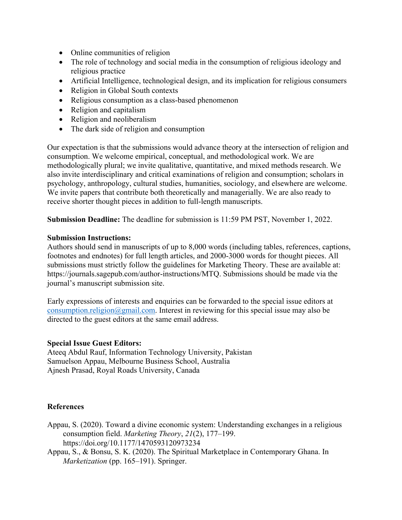- Online communities of religion
- The role of technology and social media in the consumption of religious ideology and religious practice
- Artificial Intelligence, technological design, and its implication for religious consumers
- Religion in Global South contexts
- Religious consumption as a class-based phenomenon
- Religion and capitalism
- Religion and neoliberalism
- The dark side of religion and consumption

Our expectation is that the submissions would advance theory at the intersection of religion and consumption. We welcome empirical, conceptual, and methodological work. We are methodologically plural; we invite qualitative, quantitative, and mixed methods research. We also invite interdisciplinary and critical examinations of religion and consumption; scholars in psychology, anthropology, cultural studies, humanities, sociology, and elsewhere are welcome. We invite papers that contribute both theoretically and managerially. We are also ready to receive shorter thought pieces in addition to full-length manuscripts.

**Submission Deadline:** The deadline for submission is 11:59 PM PST, November 1, 2022.

#### **Submission Instructions:**

Authors should send in manuscripts of up to 8,000 words (including tables, references, captions, footnotes and endnotes) for full length articles, and 2000-3000 words for thought pieces. All submissions must strictly follow the guidelines for Marketing Theory. These are available at: https://journals.sagepub.com/author-instructions/MTQ. Submissions should be made via the journal's manuscript submission site.

Early expressions of interests and enquiries can be forwarded to the special issue editors at consumption.religion@gmail.com. Interest in reviewing for this special issue may also be directed to the guest editors at the same email address.

## **Special Issue Guest Editors:**

Ateeq Abdul Rauf, Information Technology University, Pakistan Samuelson Appau, Melbourne Business School, Australia Ajnesh Prasad, Royal Roads University, Canada

## **References**

- Appau, S. (2020). Toward a divine economic system: Understanding exchanges in a religious consumption field. *Marketing Theory*, *21*(2), 177–199. https://doi.org/10.1177/1470593120973234
- Appau, S., & Bonsu, S. K. (2020). The Spiritual Marketplace in Contemporary Ghana. In *Marketization* (pp. 165–191). Springer.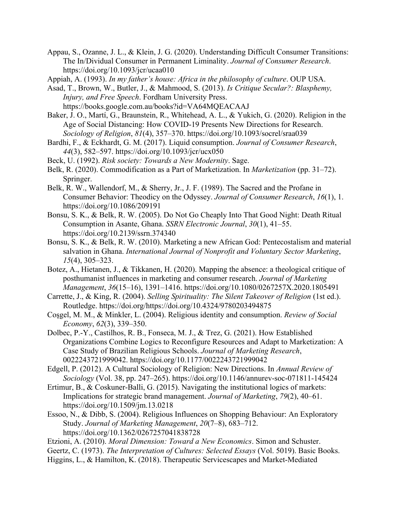Appau, S., Ozanne, J. L., & Klein, J. G. (2020). Understanding Difficult Consumer Transitions: The In/Dividual Consumer in Permanent Liminality. *Journal of Consumer Research*. https://doi.org/10.1093/jcr/ucaa010

Appiah, A. (1993). *In my father's house: Africa in the philosophy of culture*. OUP USA.

Asad, T., Brown, W., Butler, J., & Mahmood, S. (2013). *Is Critique Secular?: Blasphemy, Injury, and Free Speech*. Fordham University Press. https://books.google.com.au/books?id=VA64MQEACAAJ

- Baker, J. O., Martí, G., Braunstein, R., Whitehead, A. L., & Yukich, G. (2020). Religion in the Age of Social Distancing: How COVID-19 Presents New Directions for Research. *Sociology of Religion*, *81*(4), 357–370. https://doi.org/10.1093/socrel/sraa039
- Bardhi, F., & Eckhardt, G. M. (2017). Liquid consumption. *Journal of Consumer Research*, *44*(3), 582–597. https://doi.org/10.1093/jcr/ucx050
- Beck, U. (1992). *Risk society: Towards a New Modernity*. Sage.
- Belk, R. (2020). Commodification as a Part of Marketization. In *Marketization* (pp. 31–72). Springer.
- Belk, R. W., Wallendorf, M., & Sherry, Jr., J. F. (1989). The Sacred and the Profane in Consumer Behavior: Theodicy on the Odyssey. *Journal of Consumer Research*, *16*(1), 1. https://doi.org/10.1086/209191
- Bonsu, S. K., & Belk, R. W. (2005). Do Not Go Cheaply Into That Good Night: Death Ritual Consumption in Asante, Ghana. *SSRN Electronic Journal*, *30*(1), 41–55. https://doi.org/10.2139/ssrn.374340
- Bonsu, S. K., & Belk, R. W. (2010). Marketing a new African God: Pentecostalism and material salvation in Ghana. *International Journal of Nonprofit and Voluntary Sector Marketing*, *15*(4), 305–323.
- Botez, A., Hietanen, J., & Tikkanen, H. (2020). Mapping the absence: a theological critique of posthumanist influences in marketing and consumer research. *Journal of Marketing Management*, *36*(15–16), 1391–1416. https://doi.org/10.1080/0267257X.2020.1805491
- Carrette, J., & King, R. (2004). *Selling Spirituality: The Silent Takeover of Religion* (1st ed.). Routledge. https://doi.org/https://doi.org/10.4324/9780203494875
- Coşgel, M. M., & Minkler, L. (2004). Religious identity and consumption. *Review of Social Economy*, *62*(3), 339–350.
- Dolbec, P.-Y., Castilhos, R. B., Fonseca, M. J., & Trez, G. (2021). How Established Organizations Combine Logics to Reconfigure Resources and Adapt to Marketization: A Case Study of Brazilian Religious Schools. *Journal of Marketing Research*, 0022243721999042. https://doi.org/10.1177/0022243721999042

Edgell, P. (2012). A Cultural Sociology of Religion: New Directions. In *Annual Review of Sociology* (Vol. 38, pp. 247–265). https://doi.org/10.1146/annurev-soc-071811-145424

- Ertimur, B., & Coskuner-Balli, G. (2015). Navigating the institutional logics of markets: Implications for strategic brand management. *Journal of Marketing*, *79*(2), 40–61. https://doi.org/10.1509/jm.13.0218
- Essoo, N., & Dibb, S. (2004). Religious Influences on Shopping Behaviour: An Exploratory Study. *Journal of Marketing Management*, *20*(7–8), 683–712. https://doi.org/10.1362/0267257041838728
- Etzioni, A. (2010). *Moral Dimension: Toward a New Economics*. Simon and Schuster.
- Geertz, C. (1973). *The Interpretation of Cultures: Selected Essays* (Vol. 5019). Basic Books.
- Higgins, L., & Hamilton, K. (2018). Therapeutic Servicescapes and Market-Mediated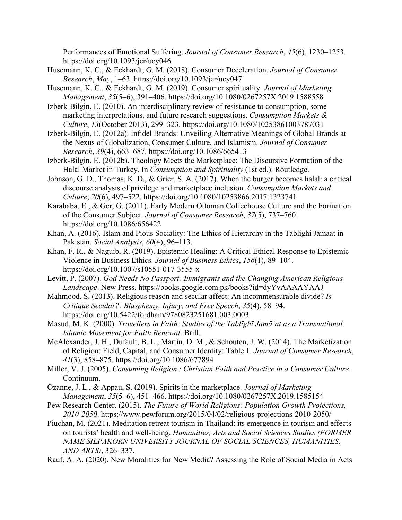Performances of Emotional Suffering. *Journal of Consumer Research*, *45*(6), 1230–1253. https://doi.org/10.1093/jcr/ucy046

- Husemann, K. C., & Eckhardt, G. M. (2018). Consumer Deceleration. *Journal of Consumer Research*, *May*, 1–63. https://doi.org/10.1093/jcr/ucy047
- Husemann, K. C., & Eckhardt, G. M. (2019). Consumer spirituality. *Journal of Marketing Management*, *35*(5–6), 391–406. https://doi.org/10.1080/0267257X.2019.1588558
- Izberk-Bilgin, E. (2010). An interdisciplinary review of resistance to consumption, some marketing interpretations, and future research suggestions. *Consumption Markets & Culture*, *13*(October 2013), 299–323. https://doi.org/10.1080/10253861003787031
- Izberk-Bilgin, E. (2012a). Infidel Brands: Unveiling Alternative Meanings of Global Brands at the Nexus of Globalization, Consumer Culture, and Islamism. *Journal of Consumer Research*, *39*(4), 663–687. https://doi.org/10.1086/665413
- Izberk-Bilgin, E. (2012b). Theology Meets the Marketplace: The Discursive Formation of the Halal Market in Turkey. In *Consumption and Spirituality* (1st ed.). Routledge.
- Johnson, G. D., Thomas, K. D., & Grier, S. A. (2017). When the burger becomes halal: a critical discourse analysis of privilege and marketplace inclusion. *Consumption Markets and Culture*, *20*(6), 497–522. https://doi.org/10.1080/10253866.2017.1323741
- Karababa, E., & Ger, G. (2011). Early Modern Ottoman Coffeehouse Culture and the Formation of the Consumer Subject. *Journal of Consumer Research*, *37*(5), 737–760. https://doi.org/10.1086/656422
- Khan, A. (2016). Islam and Pious Sociality: The Ethics of Hierarchy in the Tablighi Jamaat in Pakistan. *Social Analysis*, *60*(4), 96–113.
- Khan, F. R., & Naguib, R. (2019). Epistemic Healing: A Critical Ethical Response to Epistemic Violence in Business Ethics. *Journal of Business Ethics*, *156*(1), 89–104. https://doi.org/10.1007/s10551-017-3555-x
- Levitt, P. (2007). *God Needs No Passport: Immigrants and the Changing American Religious Landscape*. New Press. https://books.google.com.pk/books?id=dyYvAAAAYAAJ
- Mahmood, S. (2013). Religious reason and secular affect: An incommensurable divide? *Is Critique Secular?: Blasphemy, Injury, and Free Speech*, *35*(4), 58–94. https://doi.org/10.5422/fordham/9780823251681.003.0003
- Masud, M. K. (2000). *Travellers in Faith: Studies of the Tablīghī Jamāʻat as a Transnational Islamic Movement for Faith Renewal*. Brill.
- McAlexander, J. H., Dufault, B. L., Martin, D. M., & Schouten, J. W. (2014). The Marketization of Religion: Field, Capital, and Consumer Identity: Table 1. *Journal of Consumer Research*, *41*(3), 858–875. https://doi.org/10.1086/677894
- Miller, V. J. (2005). *Consuming Religion : Christian Faith and Practice in a Consumer Culture*. Continuum.
- Ozanne, J. L., & Appau, S. (2019). Spirits in the marketplace. *Journal of Marketing Management*, *35*(5–6), 451–466. https://doi.org/10.1080/0267257X.2019.1585154
- Pew Research Center. (2015). *The Future of World Religions: Population Growth Projections, 2010-2050*. https://www.pewforum.org/2015/04/02/religious-projections-2010-2050/
- Piuchan, M. (2021). Meditation retreat tourism in Thailand: its emergence in tourism and effects on tourists' health and well-being. *Humanities, Arts and Social Sciences Studies (FORMER NAME SILPAKORN UNIVERSITY JOURNAL OF SOCIAL SCIENCES, HUMANITIES, AND ARTS)*, 326–337.
- Rauf, A. A. (2020). New Moralities for New Media? Assessing the Role of Social Media in Acts